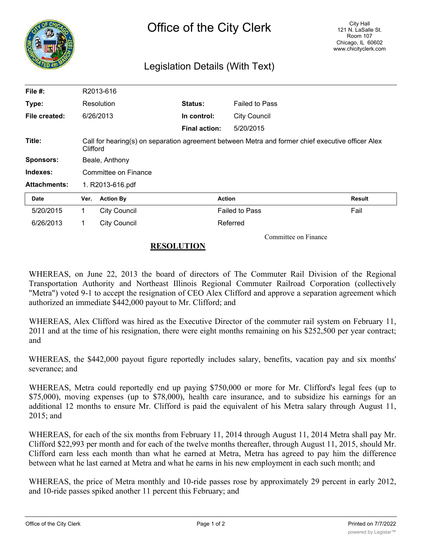

## Legislation Details (With Text)

| File #:             |                      | R2013-616                                                                                                     |                |                       |        |  |
|---------------------|----------------------|---------------------------------------------------------------------------------------------------------------|----------------|-----------------------|--------|--|
| Type:               |                      | Resolution                                                                                                    | <b>Status:</b> | <b>Failed to Pass</b> |        |  |
| File created:       |                      | 6/26/2013                                                                                                     | In control:    | <b>City Council</b>   |        |  |
|                     |                      |                                                                                                               | Final action:  | 5/20/2015             |        |  |
| Title:              |                      | Call for hearing(s) on separation agreement between Metra and former chief executive officer Alex<br>Clifford |                |                       |        |  |
| <b>Sponsors:</b>    | Beale, Anthony       |                                                                                                               |                |                       |        |  |
| Indexes:            | Committee on Finance |                                                                                                               |                |                       |        |  |
| <b>Attachments:</b> | 1. R2013-616.pdf     |                                                                                                               |                |                       |        |  |
| Date                | Ver.                 | <b>Action By</b>                                                                                              |                | <b>Action</b>         | Result |  |
| 5/20/2015           | 1.                   | <b>City Council</b>                                                                                           |                | <b>Failed to Pass</b> | Fail   |  |
| 6/26/2013           | 1.                   | <b>City Council</b>                                                                                           |                | Referred              |        |  |

Committee on Finance

## **RESOLUTION**

WHEREAS, on June 22, 2013 the board of directors of The Commuter Rail Division of the Regional Transportation Authority and Northeast Illinois Regional Commuter Railroad Corporation (collectively "Metra") voted 9-1 to accept the resignation of CEO Alex Clifford and approve a separation agreement which authorized an immediate \$442,000 payout to Mr. Clifford; and

WHEREAS, Alex Clifford was hired as the Executive Director of the commuter rail system on February 11, 2011 and at the time of his resignation, there were eight months remaining on his \$252,500 per year contract; and

WHEREAS, the \$442,000 payout figure reportedly includes salary, benefits, vacation pay and six months' severance; and

WHEREAS, Metra could reportedly end up paying \$750,000 or more for Mr. Clifford's legal fees (up to \$75,000), moving expenses (up to \$78,000), health care insurance, and to subsidize his earnings for an additional 12 months to ensure Mr. Clifford is paid the equivalent of his Metra salary through August 11, 2015; and

WHEREAS, for each of the six months from February 11, 2014 through August 11, 2014 Metra shall pay Mr. Clifford \$22,993 per month and for each of the twelve months thereafter, through August 11, 2015, should Mr. Clifford earn less each month than what he earned at Metra, Metra has agreed to pay him the difference between what he last earned at Metra and what he earns in his new employment in each such month; and

WHEREAS, the price of Metra monthly and 10-ride passes rose by approximately 29 percent in early 2012, and 10-ride passes spiked another 11 percent this February; and